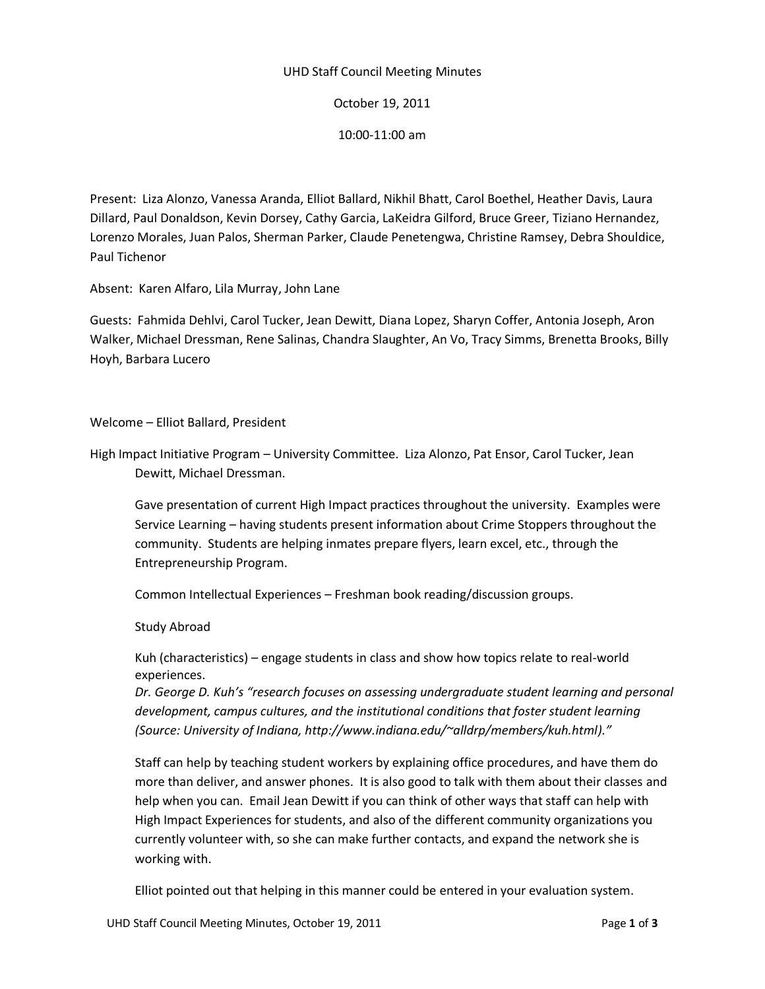# UHD Staff Council Meeting Minutes

October 19, 2011

10:00-11:00 am

Present: Liza Alonzo, Vanessa Aranda, Elliot Ballard, Nikhil Bhatt, Carol Boethel, Heather Davis, Laura Dillard, Paul Donaldson, Kevin Dorsey, Cathy Garcia, LaKeidra Gilford, Bruce Greer, Tiziano Hernandez, Lorenzo Morales, Juan Palos, Sherman Parker, Claude Penetengwa, Christine Ramsey, Debra Shouldice, Paul Tichenor

Absent: Karen Alfaro, Lila Murray, John Lane

Guests: Fahmida Dehlvi, Carol Tucker, Jean Dewitt, Diana Lopez, Sharyn Coffer, Antonia Joseph, Aron Walker, Michael Dressman, Rene Salinas, Chandra Slaughter, An Vo, Tracy Simms, Brenetta Brooks, Billy Hoyh, Barbara Lucero

# Welcome – Elliot Ballard, President

High Impact Initiative Program – University Committee. Liza Alonzo, Pat Ensor, Carol Tucker, Jean Dewitt, Michael Dressman.

Gave presentation of current High Impact practices throughout the university. Examples were Service Learning – having students present information about Crime Stoppers throughout the community. Students are helping inmates prepare flyers, learn excel, etc., through the Entrepreneurship Program.

Common Intellectual Experiences – Freshman book reading/discussion groups.

Study Abroad

Kuh (characteristics) – engage students in class and show how topics relate to real-world experiences.

*Dr. George D. Kuh's "research focuses on assessing undergraduate student learning and personal development, campus cultures, and the institutional conditions that foster student learning (Source: University of Indiana, http://www.indiana.edu/~alldrp/members/kuh.html)."*

Staff can help by teaching student workers by explaining office procedures, and have them do more than deliver, and answer phones. It is also good to talk with them about their classes and help when you can. Email Jean Dewitt if you can think of other ways that staff can help with High Impact Experiences for students, and also of the different community organizations you currently volunteer with, so she can make further contacts, and expand the network she is working with.

Elliot pointed out that helping in this manner could be entered in your evaluation system.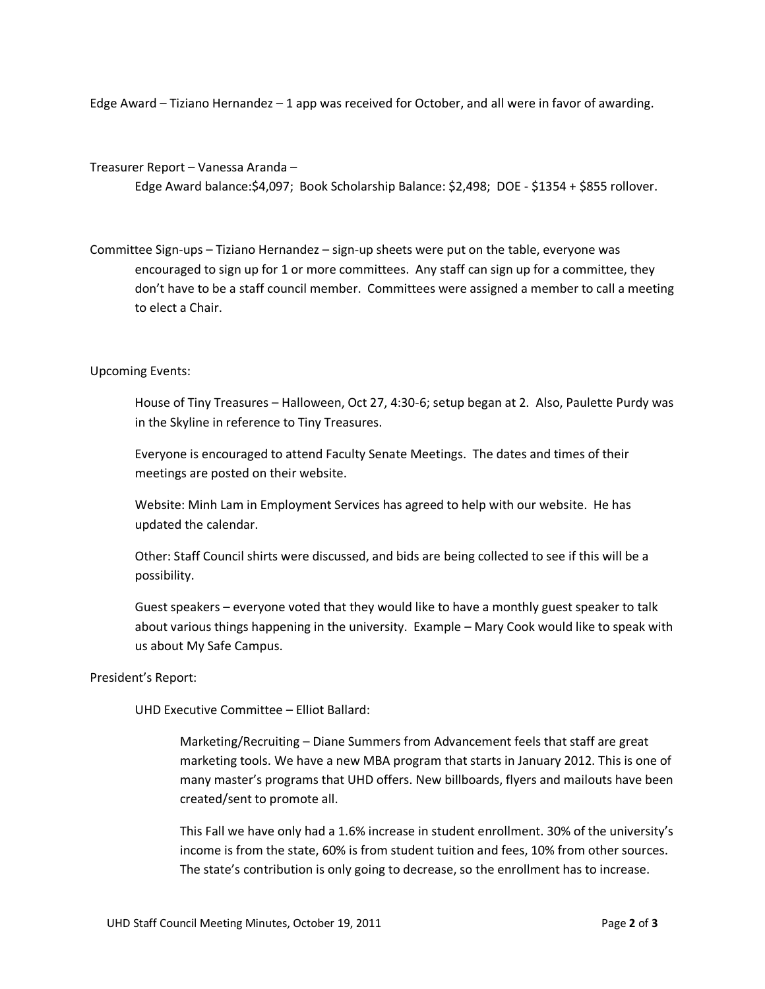Edge Award – Tiziano Hernandez – 1 app was received for October, and all were in favor of awarding.

#### Treasurer Report – Vanessa Aranda –

Edge Award balance:\$4,097; Book Scholarship Balance: \$2,498; DOE - \$1354 + \$855 rollover.

Committee Sign-ups – Tiziano Hernandez – sign-up sheets were put on the table, everyone was encouraged to sign up for 1 or more committees. Any staff can sign up for a committee, they don't have to be a staff council member. Committees were assigned a member to call a meeting to elect a Chair.

# Upcoming Events:

House of Tiny Treasures – Halloween, Oct 27, 4:30-6; setup began at 2. Also, Paulette Purdy was in the Skyline in reference to Tiny Treasures.

Everyone is encouraged to attend Faculty Senate Meetings. The dates and times of their meetings are posted on their website.

Website: Minh Lam in Employment Services has agreed to help with our website. He has updated the calendar.

Other: Staff Council shirts were discussed, and bids are being collected to see if this will be a possibility.

Guest speakers – everyone voted that they would like to have a monthly guest speaker to talk about various things happening in the university. Example – Mary Cook would like to speak with us about My Safe Campus.

### President's Report:

UHD Executive Committee – Elliot Ballard:

Marketing/Recruiting – Diane Summers from Advancement feels that staff are great marketing tools. We have a new MBA program that starts in January 2012. This is one of many master's programs that UHD offers. New billboards, flyers and mailouts have been created/sent to promote all.

This Fall we have only had a 1.6% increase in student enrollment. 30% of the university's income is from the state, 60% is from student tuition and fees, 10% from other sources. The state's contribution is only going to decrease, so the enrollment has to increase.